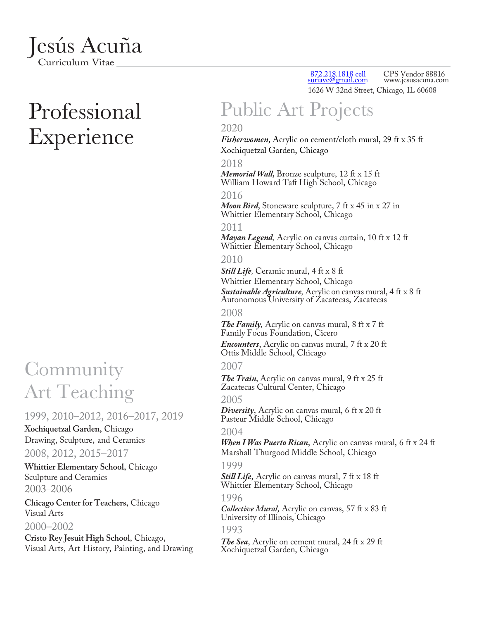

# Professional Experience

### Community Art Teaching

#### 1999, 2010–2012, 2016–2017, 2019

**Xochiquetzal Garden,** Chicago Drawing, Sculpture, and Ceramics

#### 2008, 2012, 2015–2017

**Whittier Elementary School,** Chicago Sculpture and Ceramics 2003–2006

**Chicago Center for Teachers,** Chicago Visual Arts 2000–2002

**Cristo Rey Jesuit High School**, Chicago, Visual Arts, Art History, Painting, and Drawing

872.218.1818 cell<br>
<u>suriave@gmail.com</u> 1 CPS Vendor 88816 www.jesusacuna.com 1626 W 32nd Street, Chicago, IL 60608

# Public Art Projects

#### 2020

*Fisherwomen,* Acrylic on cement/cloth mural, 29 ft x 35 ft Xochiquetzal Garden, Chicago

2018 *Memorial Wall,* Bronze sculpture, 12 ft x 15 ft William Howard Taft High School, Chicago

#### 2016

*Moon Bird,* Stoneware sculpture, 7 ft x 45 in x 27 in Whittier Elementary School, Chicago

#### 2011

*Mayan Legend,* Acrylic on canvas curtain, 10 ft x 12 ft Whittier Elementary School, Chicago

#### 2010

*Still Life,* Ceramic mural, 4 ft x 8 ft Whittier Elementary School, Chicago *Sustainable Agriculture,* Acrylic on canvas mural, 4 ft x 8 ft Autonomous University of Zacatecas, Zacatecas

#### 2008

*The Family,* Acrylic on canvas mural, 8 ft x 7 ft Family Focus Foundation, Cicero

*Encounters*, Acrylic on canvas mural, 7 ft x 20 ft Ottis Middle School, Chicago

#### 2007

*The Train,* Acrylic on canvas mural, 9 ft x 25 ft Zacatecas Cultural Center, Chicago

#### 2005

*Diversity*, Acrylic on canvas mural, 6 ft x 20 ft Pasteur Middle School, Chicago

#### 2004

*When I Was Puerto Rican*, Acrylic on canvas mural, 6 ft x 24 ft Marshall Thurgood Middle School, Chicago

#### 1999

*Still Life*, Acrylic on canvas mural, 7 ft x 18 ft Whittier Elementary School, Chicago

#### 1996

*Collective Mural,* Acrylic on canvas, 57 ft x 83 ft University of Illinois, Chicago

#### 1993

*The Sea*, Acrylic on cement mural, 24 ft x 29 ft Xochiquetzal Garden, Chicago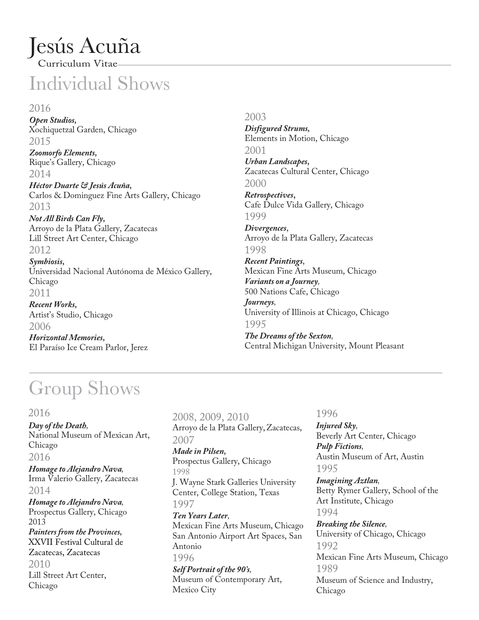### Jesús Acuña Curriculum Vitae

## Individual Shows

#### 2016

*Open Studios,* Xochiquetzal Garden, Chicago 2015

*Zoomorfo Elements,* Rique's Gallery, Chicago 2014

*Héctor Duarte & Jesús Acuña,* Carlos & Dominguez Fine Arts Gallery, Chicago 2013

*Not All Birds Can Fly,* Arroyo de la Plata Gallery, Zacatecas Lill Street Art Center, Chicago 2012

*Symbiosis,* Universidad Nacional Autónoma de México Gallery, Chicago 2011

*Recent Works,* Artist's Studio, Chicago 2006

*Horizontal Memories,* El Paraíso Ice Cream Parlor, Jerez 2003

*Disfigured Strums,* Elements in Motion, Chicago 2001 *Urban Landscapes,* Zacatecas Cultural Center, Chicago

2000 *Retrospectives***,**

Cafe Dulce Vida Gallery, Chicago 1999

*Divergences*, Arroyo de la Plata Gallery, Zacatecas 1998

*Recent Paintings*, Mexican Fine Arts Museum, Chicago *Variants on a Journey,* 500 Nations Cafe, Chicago *Journeys,* University of Illinois at Chicago, Chicago 1995

*The Dreams of the Sexton,* Central Michigan University, Mount Pleasant

# Group Shows

#### 2016

*Day of the Death,* National Museum of Mexican Art, Chicago

2016 *Homage to Alejandro Nava,*

Irma Valerio Gallery, Zacatecas 2014

*Homage to Alejandro Nava,* Prospectus Gallery, Chicago 2013 *Painters from the Provinces,* XXVII Festival Cultural de Zacatecas, Zacatecas 2010 Lill Street Art Center, Chicago

2008, 2009, 2010 Arroyo de la Plata Gallery,Zacatecas, 2007 *Made in Pilsen,* Prospectus Gallery, Chicago 1998 J. Wayne Stark Galleries University Center, College Station, Texas 1997 *Ten Years Later,* Mexican Fine Arts Museum, Chicago San Antonio Airport Art Spaces, San Antonio 1996 *Self Portrait of the 90's,* Museum of Contemporary Art,

Mexico City

#### 1996

*Injured Sky,* Beverly Art Center, Chicago *Pulp Fictions,* Austin Museum of Art, Austin 1995

*Imagining Aztlan,* Betty Rymer Gallery, School of the Art Institute, Chicago 1994

*Breaking the Silence,* University of Chicago, Chicago 1992 Mexican Fine Arts Museum, Chicago 1989 Museum of Science and Industry, Chicago